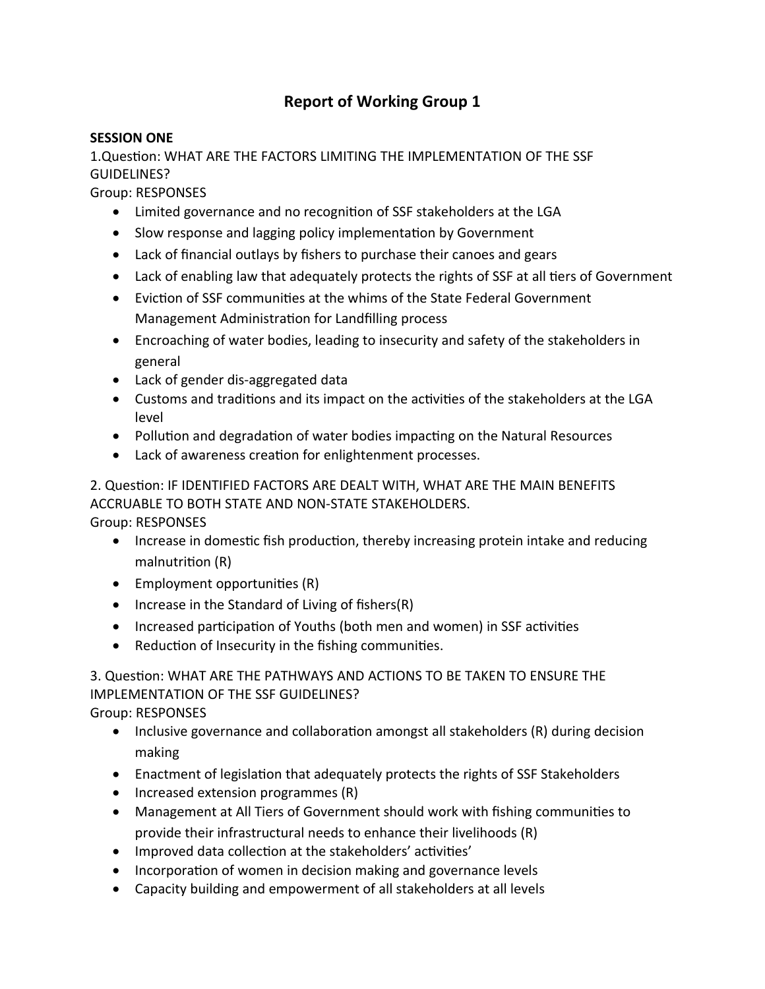# **Report of Working Group 1**

## **SESSION ONE**

1.Question: WHAT ARE THE FACTORS LIMITING THE IMPLEMENTATION OF THE SSF GUIDELINES?

Group: RESPONSES

- Limited governance and no recognition of SSF stakeholders at the LGA
- Slow response and lagging policy implementation by Government
- Lack of financial outlays by fishers to purchase their canoes and gears
- Lack of enabling law that adequately protects the rights of SSF at all tiers of Government
- Eviction of SSF communities at the whims of the State Federal Government Management Administration for Landfilling process
- Encroaching of water bodies, leading to insecurity and safety of the stakeholders in general
- Lack of gender dis-aggregated data
- Customs and traditions and its impact on the activities of the stakeholders at the LGA level
- Pollution and degradation of water bodies impacting on the Natural Resources
- Lack of awareness creation for enlightenment processes.

2. Question: IF IDENTIFIED FACTORS ARE DEALT WITH, WHAT ARE THE MAIN BENEFITS ACCRUABLE TO BOTH STATE AND NON-STATE STAKEHOLDERS. Group: RESPONSES

- Increase in domestic fish production, thereby increasing protein intake and reducing malnutrition (R)
- Employment opportunities (R)
- $\bullet$  Increase in the Standard of Living of fishers(R)
- Increased participation of Youths (both men and women) in SSF activities
- Reduction of Insecurity in the fishing communities.

3. Question: WHAT ARE THE PATHWAYS AND ACTIONS TO BE TAKEN TO ENSURE THE IMPLEMENTATION OF THE SSF GUIDELINES?

Group: RESPONSES

- Inclusive governance and collaboration amongst all stakeholders (R) during decision making
- Enactment of legislation that adequately protects the rights of SSF Stakeholders
- $\bullet$  Increased extension programmes (R)
- Management at All Tiers of Government should work with fishing communities to provide their infrastructural needs to enhance their livelihoods (R)
- Improved data collection at the stakeholders' activities'
- Incorporation of women in decision making and governance levels
- Capacity building and empowerment of all stakeholders at all levels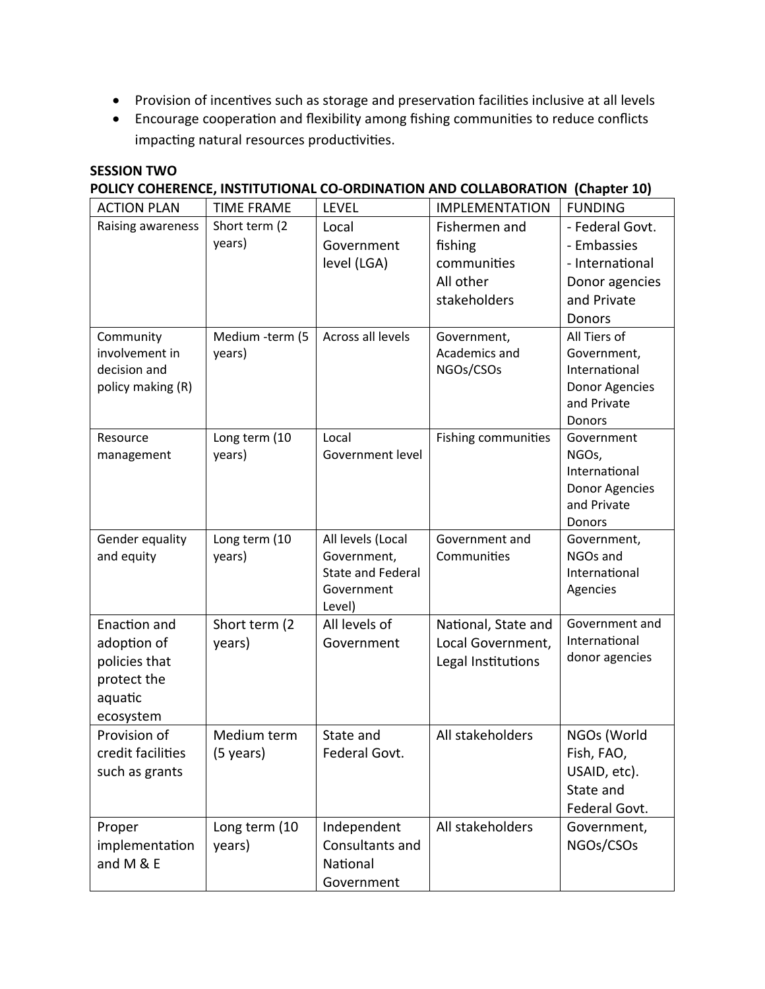- Provision of incentives such as storage and preservation facilities inclusive at all levels
- Encourage cooperation and flexibility among fishing communities to reduce conflicts impacting natural resources productivities.

## **SESSION TWO**

# **POLICY COHERENCE, INSTITUTIONAL CO-ORDINATION AND COLLABORATION (Chapter 10)**

| <b>ACTION PLAN</b> | <b>TIME FRAME</b> | <b>LEVEL</b>              | <b>IMPLEMENTATION</b>      | <b>FUNDING</b>         |
|--------------------|-------------------|---------------------------|----------------------------|------------------------|
| Raising awareness  | Short term (2)    | Local                     | Fishermen and              | - Federal Govt.        |
|                    | years)            | Government                | fishing                    | - Embassies            |
|                    |                   | level (LGA)               | communities                | - International        |
|                    |                   |                           | All other                  | Donor agencies         |
|                    |                   |                           | stakeholders               | and Private            |
|                    |                   |                           |                            | Donors                 |
| Community          | Medium -term (5   | Across all levels         | Government,                | All Tiers of           |
| involvement in     | years)            |                           | Academics and              | Government,            |
| decision and       |                   |                           | NGOs/CSOs                  | International          |
| policy making (R)  |                   |                           |                            | Donor Agencies         |
|                    |                   |                           |                            | and Private            |
|                    |                   |                           |                            | Donors                 |
| Resource           | Long term (10     | Local<br>Government level | <b>Fishing communities</b> | Government             |
| management         | years)            |                           |                            | NGOs,<br>International |
|                    |                   |                           |                            | Donor Agencies         |
|                    |                   |                           |                            | and Private            |
|                    |                   |                           |                            | Donors                 |
| Gender equality    | Long term (10     | All levels (Local         | Government and             | Government,            |
| and equity         | years)            | Government,               | Communities                | NGOs and               |
|                    |                   | <b>State and Federal</b>  |                            | International          |
|                    |                   | Government                |                            | Agencies               |
|                    |                   | Level)                    |                            |                        |
| Enaction and       | Short term (2)    | All levels of             | National, State and        | Government and         |
| adoption of        | years)            | Government                | Local Government,          | International          |
| policies that      |                   |                           | Legal Institutions         | donor agencies         |
| protect the        |                   |                           |                            |                        |
| aquatic            |                   |                           |                            |                        |
| ecosystem          |                   |                           |                            |                        |
| Provision of       | Medium term       | State and                 | All stakeholders           | NGOs (World            |
| credit facilities  | (5 years)         | Federal Govt.             |                            | Fish, FAO,             |
| such as grants     |                   |                           |                            | USAID, etc).           |
|                    |                   |                           |                            | State and              |
|                    |                   |                           |                            | Federal Govt.          |
| Proper             | Long term (10     | Independent               | All stakeholders           | Government,            |
| implementation     | years)            | Consultants and           |                            | NGOs/CSOs              |
| and M & E          |                   | National                  |                            |                        |
|                    |                   | Government                |                            |                        |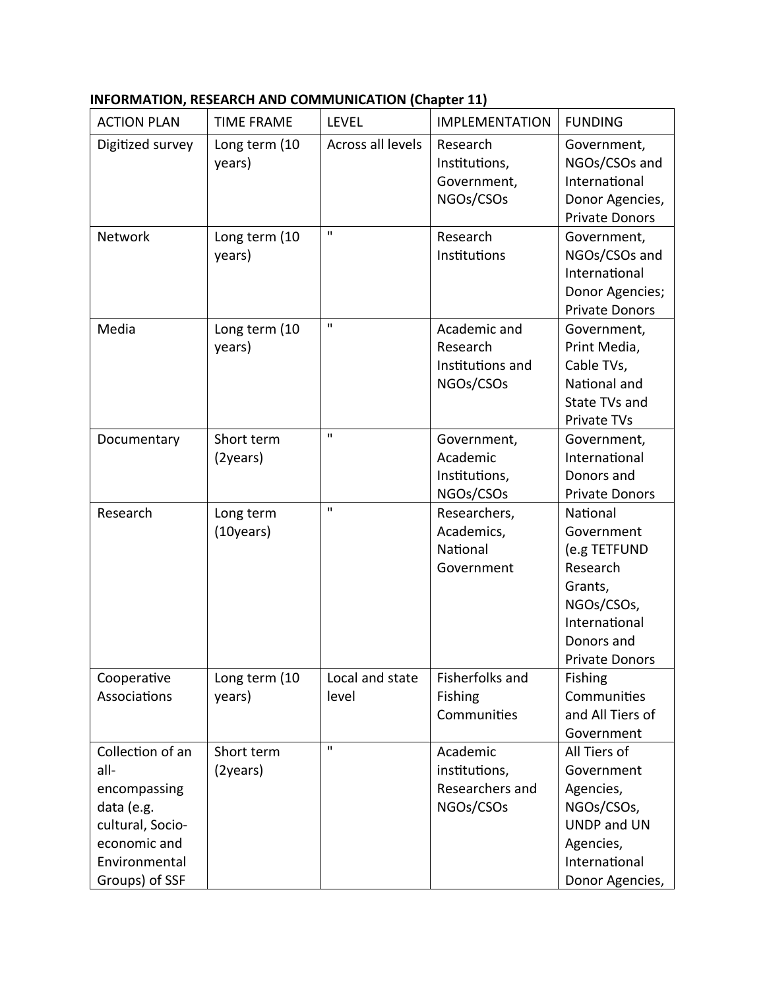|  |  | INFORMATION, RESEARCH AND COMMUNICATION (Chapter 11) |  |
|--|--|------------------------------------------------------|--|
|--|--|------------------------------------------------------|--|

| <b>ACTION PLAN</b>                                                                                                            | <b>TIME FRAME</b>       | <b>LEVEL</b>             | <b>IMPLEMENTATION</b>                                     | <b>FUNDING</b>                                                                                                                      |
|-------------------------------------------------------------------------------------------------------------------------------|-------------------------|--------------------------|-----------------------------------------------------------|-------------------------------------------------------------------------------------------------------------------------------------|
| Digitized survey                                                                                                              | Long term (10<br>years) | Across all levels        | Research<br>Institutions,<br>Government,<br>NGOs/CSOs     | Government,<br>NGOs/CSOs and<br>International<br>Donor Agencies,<br><b>Private Donors</b>                                           |
| Network                                                                                                                       | Long term (10<br>years) | $\mathbf{H}$             | Research<br>Institutions                                  | Government,<br>NGOs/CSOs and<br>International<br>Donor Agencies;<br><b>Private Donors</b>                                           |
| Media                                                                                                                         | Long term (10<br>years) | $\mathbf{u}$             | Academic and<br>Research<br>Institutions and<br>NGOs/CSOs | Government,<br>Print Media,<br>Cable TVs,<br>National and<br>State TVs and<br>Private TVs                                           |
| Documentary                                                                                                                   | Short term<br>(2years)  | $\mathbf{u}$             | Government,<br>Academic<br>Institutions,<br>NGOs/CSOs     | Government,<br>International<br>Donors and<br><b>Private Donors</b>                                                                 |
| Research                                                                                                                      | Long term<br>(10 years) | $\mathbf{u}$             | Researchers,<br>Academics,<br>National<br>Government      | National<br>Government<br>(e.g TETFUND<br>Research<br>Grants,<br>NGOs/CSOs,<br>International<br>Donors and<br><b>Private Donors</b> |
| Cooperative<br>Associations                                                                                                   | Long term (10<br>years) | Local and state<br>level | Fisherfolks and<br>Fishing<br>Communities                 | <b>Fishing</b><br>Communities<br>and All Tiers of<br>Government                                                                     |
| Collection of an<br>all-<br>encompassing<br>data (e.g.<br>cultural, Socio-<br>economic and<br>Environmental<br>Groups) of SSF | Short term<br>(2years)  | $\mathbf{H}$             | Academic<br>institutions,<br>Researchers and<br>NGOs/CSOs | All Tiers of<br>Government<br>Agencies,<br>NGOs/CSOs,<br>UNDP and UN<br>Agencies,<br>International<br>Donor Agencies,               |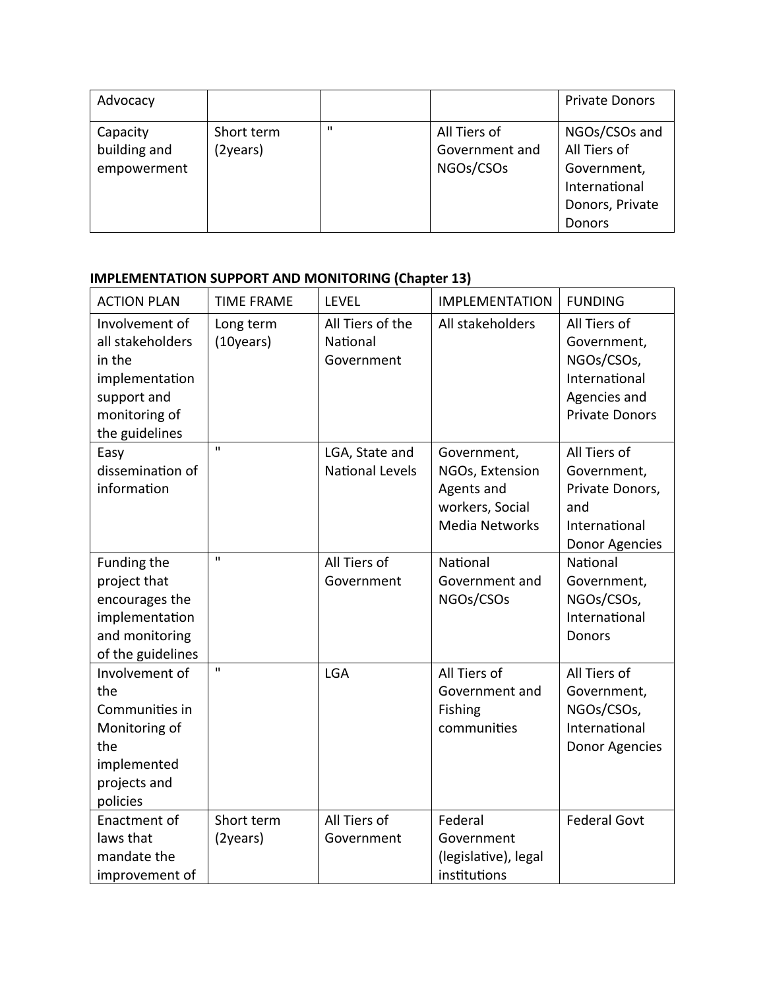| Advocacy                                |                        |              |                                             | <b>Private Donors</b>                                         |
|-----------------------------------------|------------------------|--------------|---------------------------------------------|---------------------------------------------------------------|
| Capacity<br>building and<br>empowerment | Short term<br>(2years) | $\mathbf{u}$ | All Tiers of<br>Government and<br>NGOs/CSOs | NGOs/CSOs and<br>All Tiers of<br>Government,<br>International |
|                                         |                        |              |                                             | Donors, Private<br>Donors                                     |

# **IMPLEMENTATION SUPPORT AND MONITORING (Chapter 13)**

| <b>ACTION PLAN</b>                                                                                               | <b>TIME FRAME</b>       | <b>LEVEL</b>                               | <b>IMPLEMENTATION</b>                                                                    | <b>FUNDING</b>                                                                                      |
|------------------------------------------------------------------------------------------------------------------|-------------------------|--------------------------------------------|------------------------------------------------------------------------------------------|-----------------------------------------------------------------------------------------------------|
| Involvement of<br>all stakeholders<br>in the<br>implementation<br>support and<br>monitoring of<br>the guidelines | Long term<br>(10 years) | All Tiers of the<br>National<br>Government | All stakeholders                                                                         | All Tiers of<br>Government,<br>NGOs/CSOs,<br>International<br>Agencies and<br><b>Private Donors</b> |
| Easy<br>dissemination of<br>information                                                                          | $\mathbf{H}$            | LGA, State and<br><b>National Levels</b>   | Government,<br>NGOs, Extension<br>Agents and<br>workers, Social<br><b>Media Networks</b> | All Tiers of<br>Government,<br>Private Donors,<br>and<br>International<br>Donor Agencies            |
| Funding the<br>project that<br>encourages the<br>implementation<br>and monitoring<br>of the guidelines           | $\mathbf{u}$            | All Tiers of<br>Government                 | National<br>Government and<br>NGOs/CSOs                                                  | National<br>Government,<br>NGOs/CSOs,<br>International<br>Donors                                    |
| Involvement of<br>the<br>Communities in<br>Monitoring of<br>the<br>implemented<br>projects and<br>policies       | $\mathbf{H}$            | <b>LGA</b>                                 | All Tiers of<br>Government and<br>Fishing<br>communities                                 | All Tiers of<br>Government,<br>NGOs/CSOs,<br>International<br>Donor Agencies                        |
| Enactment of<br>laws that<br>mandate the<br>improvement of                                                       | Short term<br>(2years)  | All Tiers of<br>Government                 | Federal<br>Government<br>(legislative), legal<br>institutions                            | <b>Federal Govt</b>                                                                                 |